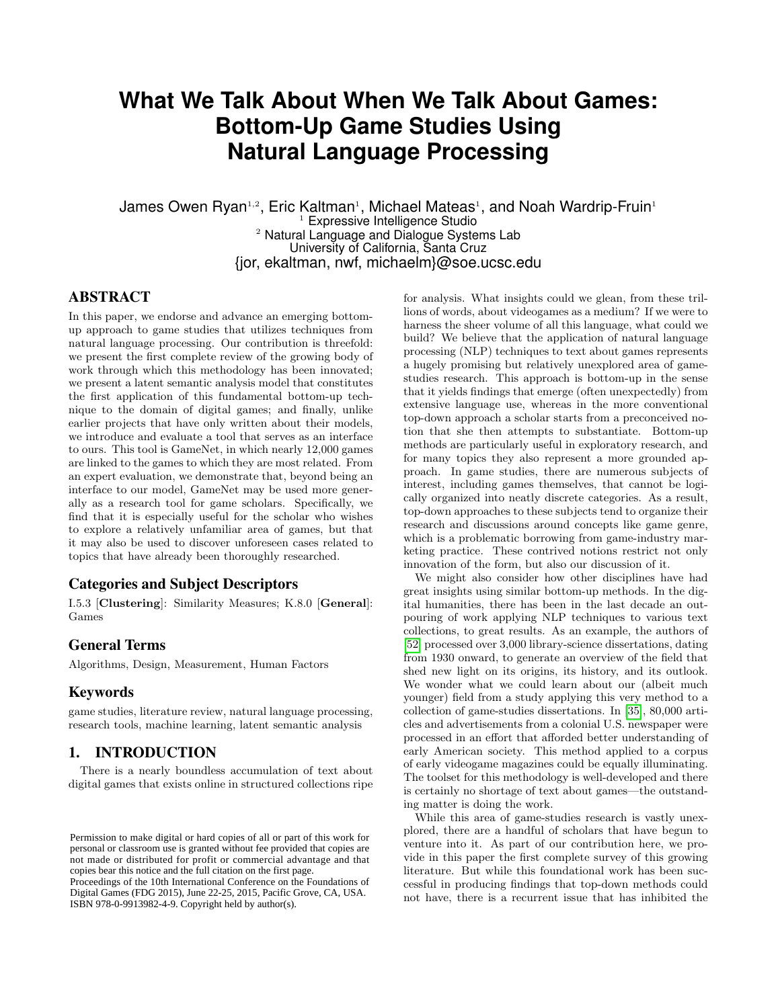# **What We Talk About When We Talk About Games: Bottom-Up Game Studies Using Natural Language Processing**

James Owen Ryan1,2, Eric Kaltman1, Michael Mateas1, and Noah Wardrip-Fruin1  $1$  Expressive Intelligence Studio <sup>2</sup> Natural Language and Dialogue Systems Lab University of California, Santa Cruz {jor, ekaltman, nwf, michaelm}@soe.ucsc.edu

# **ABSTRACT**

In this paper, we endorse and advance an emerging bottomup approach to game studies that utilizes techniques from natural language processing. Our contribution is threefold: we present the first complete review of the growing body of work through which this methodology has been innovated; we present a latent semantic analysis model that constitutes the first application of this fundamental bottom-up technique to the domain of digital games; and finally, unlike earlier projects that have only written about their models, we introduce and evaluate a tool that serves as an interface to ours. This tool is GameNet, in which nearly 12,000 games are linked to the games to which they are most related. From an expert evaluation, we demonstrate that, beyond being an interface to our model, GameNet may be used more generally as a research tool for game scholars. Specifically, we find that it is especially useful for the scholar who wishes to explore a relatively unfamiliar area of games, but that it may also be used to discover unforeseen cases related to topics that have already been thoroughly researched.

# Categories and Subject Descriptors

I.5.3 [Clustering]: Similarity Measures; K.8.0 [General]: Games

## General Terms

Algorithms, Design, Measurement, Human Factors

## Keywords

game studies, literature review, natural language processing, research tools, machine learning, latent semantic analysis

# 1. INTRODUCTION

There is a nearly boundless accumulation of text about digital games that exists online in structured collections ripe

Proceedings of the 10th International Conference on the Foundations of Digital Games (FDG 2015), June 22-25, 2015, Pacific Grove, CA, USA. ISBN 978-0-9913982-4-9. Copyright held by author(s).

for analysis. What insights could we glean, from these trillions of words, about videogames as a medium? If we were to harness the sheer volume of all this language, what could we build? We believe that the application of natural language processing (NLP) techniques to text about games represents a hugely promising but relatively unexplored area of gamestudies research. This approach is bottom-up in the sense that it yields findings that emerge (often unexpectedly) from extensive language use, whereas in the more conventional top-down approach a scholar starts from a preconceived notion that she then attempts to substantiate. Bottom-up methods are particularly useful in exploratory research, and for many topics they also represent a more grounded approach. In game studies, there are numerous subjects of interest, including games themselves, that cannot be logically organized into neatly discrete categories. As a result, top-down approaches to these subjects tend to organize their research and discussions around concepts like game genre, which is a problematic borrowing from game-industry marketing practice. These contrived notions restrict not only innovation of the form, but also our discussion of it.

We might also consider how other disciplines have had great insights using similar bottom-up methods. In the digital humanities, there has been in the last decade an outpouring of work applying NLP techniques to various text collections, to great results. As an example, the authors of [\[52\]](#page-8-0) processed over 3,000 library-science dissertations, dating from 1930 onward, to generate an overview of the field that shed new light on its origins, its history, and its outlook. We wonder what we could learn about our (albeit much younger) field from a study applying this very method to a collection of game-studies dissertations. In [\[35\]](#page-8-1), 80,000 articles and advertisements from a colonial U.S. newspaper were processed in an effort that afforded better understanding of early American society. This method applied to a corpus of early videogame magazines could be equally illuminating. The toolset for this methodology is well-developed and there is certainly no shortage of text about games—the outstanding matter is doing the work.

While this area of game-studies research is vastly unexplored, there are a handful of scholars that have begun to venture into it. As part of our contribution here, we provide in this paper the first complete survey of this growing literature. But while this foundational work has been successful in producing findings that top-down methods could not have, there is a recurrent issue that has inhibited the

Permission to make digital or hard copies of all or part of this work for personal or classroom use is granted without fee provided that copies are not made or distributed for profit or commercial advantage and that copies bear this notice and the full citation on the first page.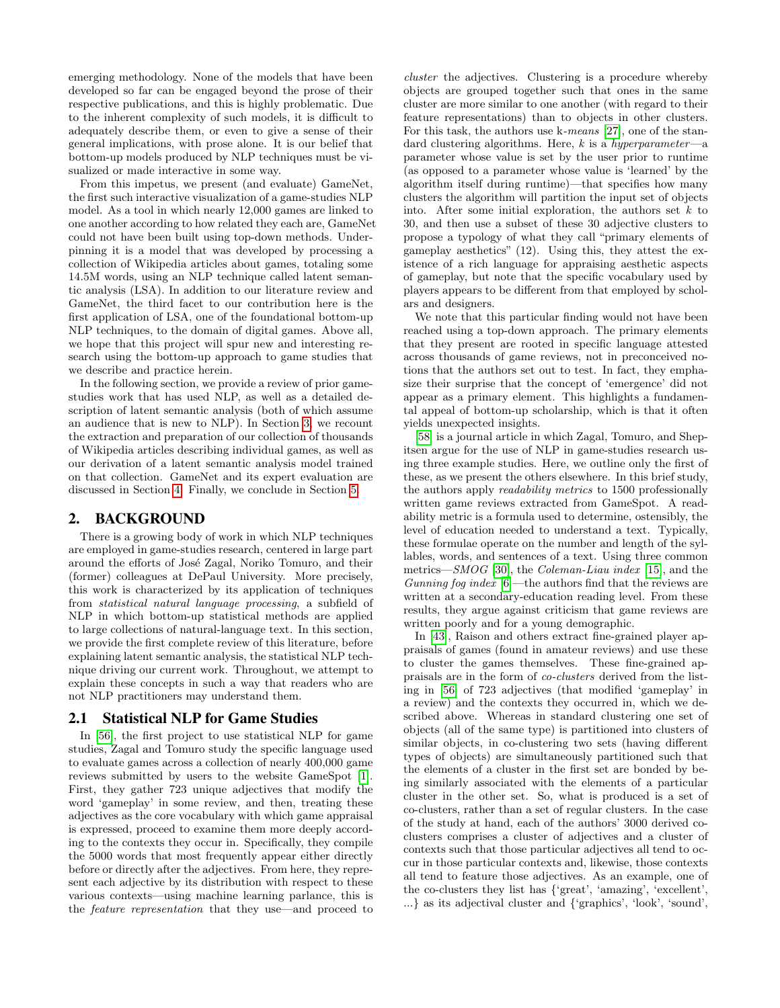emerging methodology. None of the models that have been developed so far can be engaged beyond the prose of their respective publications, and this is highly problematic. Due to the inherent complexity of such models, it is difficult to adequately describe them, or even to give a sense of their general implications, with prose alone. It is our belief that bottom-up models produced by NLP techniques must be visualized or made interactive in some way.

From this impetus, we present (and evaluate) GameNet, the first such interactive visualization of a game-studies NLP model. As a tool in which nearly 12,000 games are linked to one another according to how related they each are, GameNet could not have been built using top-down methods. Underpinning it is a model that was developed by processing a collection of Wikipedia articles about games, totaling some 14.5M words, using an NLP technique called latent semantic analysis (LSA). In addition to our literature review and GameNet, the third facet to our contribution here is the first application of LSA, one of the foundational bottom-up NLP techniques, to the domain of digital games. Above all, we hope that this project will spur new and interesting research using the bottom-up approach to game studies that we describe and practice herein.

In the following section, we provide a review of prior gamestudies work that has used NLP, as well as a detailed description of latent semantic analysis (both of which assume an audience that is new to NLP). In Section [3,](#page-4-0) we recount the extraction and preparation of our collection of thousands of Wikipedia articles describing individual games, as well as our derivation of a latent semantic analysis model trained on that collection. GameNet and its expert evaluation are discussed in Section [4.](#page-5-0) Finally, we conclude in Section [5.](#page-7-0)

## 2. BACKGROUND

There is a growing body of work in which NLP techniques are employed in game-studies research, centered in large part around the efforts of José Zagal, Noriko Tomuro, and their (former) colleagues at DePaul University. More precisely, this work is characterized by its application of techniques from statistical natural language processing, a subfield of NLP in which bottom-up statistical methods are applied to large collections of natural-language text. In this section, we provide the first complete review of this literature, before explaining latent semantic analysis, the statistical NLP technique driving our current work. Throughout, we attempt to explain these concepts in such a way that readers who are not NLP practitioners may understand them.

#### 2.1 Statistical NLP for Game Studies

In [\[56\]](#page-9-0), the first project to use statistical NLP for game studies, Zagal and Tomuro study the specific language used to evaluate games across a collection of nearly 400,000 game reviews submitted by users to the website GameSpot [\[1\]](#page-8-2). First, they gather 723 unique adjectives that modify the word 'gameplay' in some review, and then, treating these adjectives as the core vocabulary with which game appraisal is expressed, proceed to examine them more deeply according to the contexts they occur in. Specifically, they compile the 5000 words that most frequently appear either directly before or directly after the adjectives. From here, they represent each adjective by its distribution with respect to these various contexts—using machine learning parlance, this is the feature representation that they use—and proceed to

cluster the adjectives. Clustering is a procedure whereby objects are grouped together such that ones in the same cluster are more similar to one another (with regard to their feature representations) than to objects in other clusters. For this task, the authors use k-means [\[27\]](#page-8-3), one of the standard clustering algorithms. Here,  $k$  is a hyperparameter—a parameter whose value is set by the user prior to runtime (as opposed to a parameter whose value is 'learned' by the algorithm itself during runtime)—that specifies how many clusters the algorithm will partition the input set of objects into. After some initial exploration, the authors set  $k$  to 30, and then use a subset of these 30 adjective clusters to propose a typology of what they call "primary elements of gameplay aesthetics" (12). Using this, they attest the existence of a rich language for appraising aesthetic aspects of gameplay, but note that the specific vocabulary used by players appears to be different from that employed by scholars and designers.

We note that this particular finding would not have been reached using a top-down approach. The primary elements that they present are rooted in specific language attested across thousands of game reviews, not in preconceived notions that the authors set out to test. In fact, they emphasize their surprise that the concept of 'emergence' did not appear as a primary element. This highlights a fundamental appeal of bottom-up scholarship, which is that it often yields unexpected insights.

[\[58\]](#page-9-1) is a journal article in which Zagal, Tomuro, and Shepitsen argue for the use of NLP in game-studies research using three example studies. Here, we outline only the first of these, as we present the others elsewhere. In this brief study, the authors apply readability metrics to 1500 professionally written game reviews extracted from GameSpot. A readability metric is a formula used to determine, ostensibly, the level of education needed to understand a text. Typically, these formulae operate on the number and length of the syllables, words, and sentences of a text. Using three common metrics—SMOG [\[30\]](#page-8-4), the Coleman-Liau index [\[15\]](#page-8-5), and the Gunning fog index [\[6\]](#page-8-6)—the authors find that the reviews are written at a secondary-education reading level. From these results, they argue against criticism that game reviews are written poorly and for a young demographic.

In [\[43\]](#page-8-7), Raison and others extract fine-grained player appraisals of games (found in amateur reviews) and use these to cluster the games themselves. These fine-grained appraisals are in the form of co-clusters derived from the listing in [\[56\]](#page-9-0) of 723 adjectives (that modified 'gameplay' in a review) and the contexts they occurred in, which we described above. Whereas in standard clustering one set of objects (all of the same type) is partitioned into clusters of similar objects, in co-clustering two sets (having different types of objects) are simultaneously partitioned such that the elements of a cluster in the first set are bonded by being similarly associated with the elements of a particular cluster in the other set. So, what is produced is a set of co-clusters, rather than a set of regular clusters. In the case of the study at hand, each of the authors' 3000 derived coclusters comprises a cluster of adjectives and a cluster of contexts such that those particular adjectives all tend to occur in those particular contexts and, likewise, those contexts all tend to feature those adjectives. As an example, one of the co-clusters they list has {'great', 'amazing', 'excellent', ...} as its adjectival cluster and {'graphics', 'look', 'sound',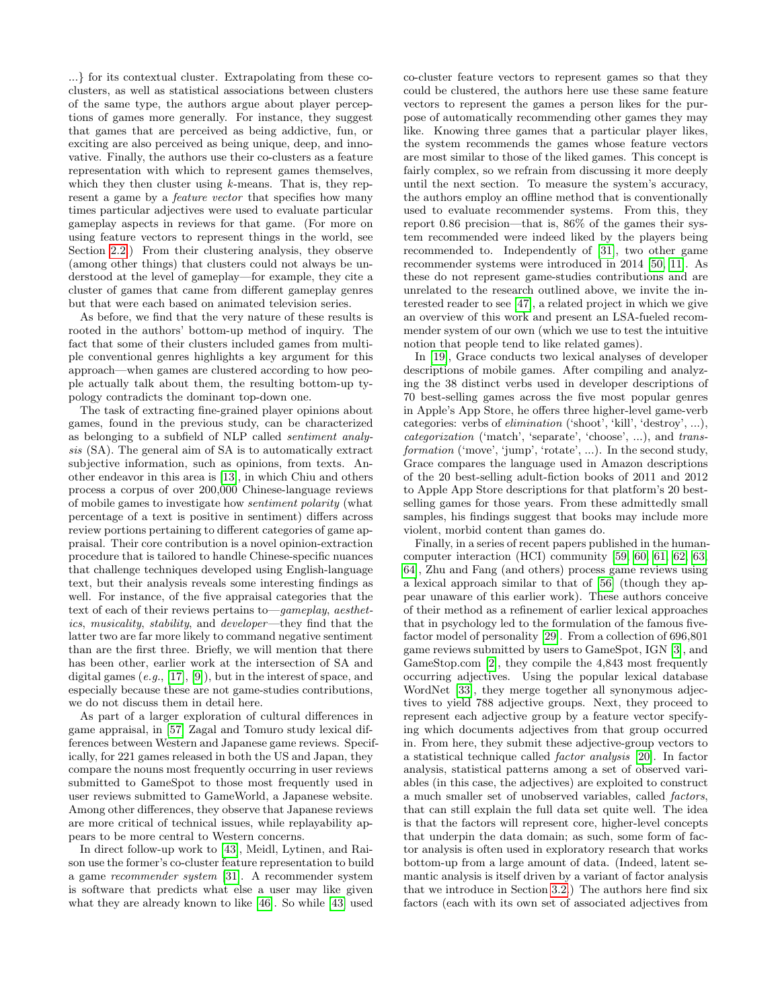...} for its contextual cluster. Extrapolating from these coclusters, as well as statistical associations between clusters of the same type, the authors argue about player perceptions of games more generally. For instance, they suggest that games that are perceived as being addictive, fun, or exciting are also perceived as being unique, deep, and innovative. Finally, the authors use their co-clusters as a feature representation with which to represent games themselves, which they then cluster using  $k$ -means. That is, they represent a game by a *feature vector* that specifies how many times particular adjectives were used to evaluate particular gameplay aspects in reviews for that game. (For more on using feature vectors to represent things in the world, see Section [2.2.](#page-3-0)) From their clustering analysis, they observe (among other things) that clusters could not always be understood at the level of gameplay—for example, they cite a cluster of games that came from different gameplay genres but that were each based on animated television series.

As before, we find that the very nature of these results is rooted in the authors' bottom-up method of inquiry. The fact that some of their clusters included games from multiple conventional genres highlights a key argument for this approach—when games are clustered according to how people actually talk about them, the resulting bottom-up typology contradicts the dominant top-down one.

The task of extracting fine-grained player opinions about games, found in the previous study, can be characterized as belonging to a subfield of NLP called sentiment analysis (SA). The general aim of SA is to automatically extract subjective information, such as opinions, from texts. Another endeavor in this area is [\[13\]](#page-8-8), in which Chiu and others process a corpus of over 200,000 Chinese-language reviews of mobile games to investigate how sentiment polarity (what percentage of a text is positive in sentiment) differs across review portions pertaining to different categories of game appraisal. Their core contribution is a novel opinion-extraction procedure that is tailored to handle Chinese-specific nuances that challenge techniques developed using English-language text, but their analysis reveals some interesting findings as well. For instance, of the five appraisal categories that the text of each of their reviews pertains to—gameplay, aesthetics, musicality, stability, and developer—they find that the latter two are far more likely to command negative sentiment than are the first three. Briefly, we will mention that there has been other, earlier work at the intersection of SA and digital games (e.g., [\[17\]](#page-8-9), [\[9\]](#page-8-10)), but in the interest of space, and especially because these are not game-studies contributions, we do not discuss them in detail here.

As part of a larger exploration of cultural differences in game appraisal, in [\[57\]](#page-9-2) Zagal and Tomuro study lexical differences between Western and Japanese game reviews. Specifically, for 221 games released in both the US and Japan, they compare the nouns most frequently occurring in user reviews submitted to GameSpot to those most frequently used in user reviews submitted to GameWorld, a Japanese website. Among other differences, they observe that Japanese reviews are more critical of technical issues, while replayability appears to be more central to Western concerns.

In direct follow-up work to [\[43\]](#page-8-7), Meidl, Lytinen, and Raison use the former's co-cluster feature representation to build a game recommender system [\[31\]](#page-8-11). A recommender system is software that predicts what else a user may like given what they are already known to like [\[46\]](#page-8-12). So while [\[43\]](#page-8-7) used

co-cluster feature vectors to represent games so that they could be clustered, the authors here use these same feature vectors to represent the games a person likes for the purpose of automatically recommending other games they may like. Knowing three games that a particular player likes, the system recommends the games whose feature vectors are most similar to those of the liked games. This concept is fairly complex, so we refrain from discussing it more deeply until the next section. To measure the system's accuracy, the authors employ an offline method that is conventionally used to evaluate recommender systems. From this, they report 0.86 precision—that is, 86% of the games their system recommended were indeed liked by the players being recommended to. Independently of [\[31\]](#page-8-11), two other game recommender systems were introduced in 2014 [\[50,](#page-8-13) [11\]](#page-8-14). As these do not represent game-studies contributions and are unrelated to the research outlined above, we invite the interested reader to see [\[47\]](#page-8-15), a related project in which we give an overview of this work and present an LSA-fueled recommender system of our own (which we use to test the intuitive notion that people tend to like related games).

In [\[19\]](#page-8-16), Grace conducts two lexical analyses of developer descriptions of mobile games. After compiling and analyzing the 38 distinct verbs used in developer descriptions of 70 best-selling games across the five most popular genres in Apple's App Store, he offers three higher-level game-verb categories: verbs of elimination ('shoot', 'kill', 'destroy', ...), categorization ('match', 'separate', 'choose', ...), and transformation ('move', 'jump', 'rotate', ...). In the second study, Grace compares the language used in Amazon descriptions of the 20 best-selling adult-fiction books of 2011 and 2012 to Apple App Store descriptions for that platform's 20 bestselling games for those years. From these admittedly small samples, his findings suggest that books may include more violent, morbid content than games do.

Finally, in a series of recent papers published in the humancomputer interaction (HCI) community [\[59,](#page-9-3) [60,](#page-9-4) [61,](#page-9-5) [62,](#page-9-6) [63,](#page-9-7) [64\]](#page-9-8), Zhu and Fang (and others) process game reviews using a lexical approach similar to that of [\[56\]](#page-9-0) (though they appear unaware of this earlier work). These authors conceive of their method as a refinement of earlier lexical approaches that in psychology led to the formulation of the famous fivefactor model of personality [\[29\]](#page-8-17). From a collection of 696,801 game reviews submitted by users to GameSpot, IGN [\[3\]](#page-8-18), and GameStop.com [\[2\]](#page-8-19), they compile the 4,843 most frequently occurring adjectives. Using the popular lexical database WordNet [\[33\]](#page-8-20), they merge together all synonymous adjectives to yield 788 adjective groups. Next, they proceed to represent each adjective group by a feature vector specifying which documents adjectives from that group occurred in. From here, they submit these adjective-group vectors to a statistical technique called factor analysis [\[20\]](#page-8-21). In factor analysis, statistical patterns among a set of observed variables (in this case, the adjectives) are exploited to construct a much smaller set of unobserved variables, called factors, that can still explain the full data set quite well. The idea is that the factors will represent core, higher-level concepts that underpin the data domain; as such, some form of factor analysis is often used in exploratory research that works bottom-up from a large amount of data. (Indeed, latent semantic analysis is itself driven by a variant of factor analysis that we introduce in Section [3.2.](#page-4-1)) The authors here find six factors (each with its own set of associated adjectives from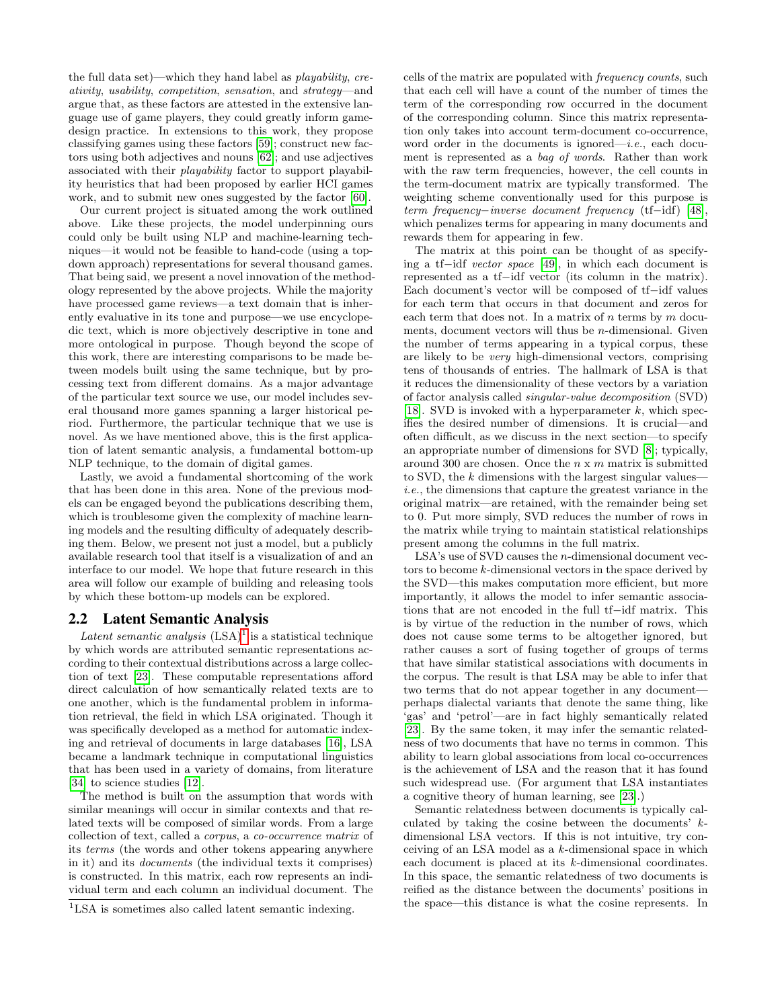the full data set)—which they hand label as playability, creativity, usability, competition, sensation, and strategy—and argue that, as these factors are attested in the extensive language use of game players, they could greatly inform gamedesign practice. In extensions to this work, they propose classifying games using these factors [\[59\]](#page-9-3); construct new factors using both adjectives and nouns [\[62\]](#page-9-6); and use adjectives associated with their playability factor to support playability heuristics that had been proposed by earlier HCI games work, and to submit new ones suggested by the factor [\[60\]](#page-9-4).

Our current project is situated among the work outlined above. Like these projects, the model underpinning ours could only be built using NLP and machine-learning techniques—it would not be feasible to hand-code (using a topdown approach) representations for several thousand games. That being said, we present a novel innovation of the methodology represented by the above projects. While the majority have processed game reviews—a text domain that is inherently evaluative in its tone and purpose—we use encyclopedic text, which is more objectively descriptive in tone and more ontological in purpose. Though beyond the scope of this work, there are interesting comparisons to be made between models built using the same technique, but by processing text from different domains. As a major advantage of the particular text source we use, our model includes several thousand more games spanning a larger historical period. Furthermore, the particular technique that we use is novel. As we have mentioned above, this is the first application of latent semantic analysis, a fundamental bottom-up NLP technique, to the domain of digital games.

Lastly, we avoid a fundamental shortcoming of the work that has been done in this area. None of the previous models can be engaged beyond the publications describing them, which is troublesome given the complexity of machine learning models and the resulting difficulty of adequately describing them. Below, we present not just a model, but a publicly available research tool that itself is a visualization of and an interface to our model. We hope that future research in this area will follow our example of building and releasing tools by which these bottom-up models can be explored.

# <span id="page-3-0"></span>2.2 Latent Semantic Analysis

Latent semantic analysis  $(LSA)^1$  $(LSA)^1$  is a statistical technique by which words are attributed semantic representations according to their contextual distributions across a large collection of text [\[23\]](#page-8-22). These computable representations afford direct calculation of how semantically related texts are to one another, which is the fundamental problem in information retrieval, the field in which LSA originated. Though it was specifically developed as a method for automatic indexing and retrieval of documents in large databases [\[16\]](#page-8-23), LSA became a landmark technique in computational linguistics that has been used in a variety of domains, from literature [\[34\]](#page-8-24) to science studies [\[12\]](#page-8-25).

The method is built on the assumption that words with similar meanings will occur in similar contexts and that related texts will be composed of similar words. From a large collection of text, called a corpus, a co-occurrence matrix of its terms (the words and other tokens appearing anywhere in it) and its documents (the individual texts it comprises) is constructed. In this matrix, each row represents an individual term and each column an individual document. The

cells of the matrix are populated with frequency counts, such that each cell will have a count of the number of times the term of the corresponding row occurred in the document of the corresponding column. Since this matrix representation only takes into account term-document co-occurrence, word order in the documents is ignored—*i.e.*, each document is represented as a bag of words. Rather than work with the raw term frequencies, however, the cell counts in the term-document matrix are typically transformed. The weighting scheme conventionally used for this purpose is term frequency−inverse document frequency (tf−idf) [\[48\]](#page-8-26), which penalizes terms for appearing in many documents and rewards them for appearing in few.

The matrix at this point can be thought of as specifying a tf−idf vector space [\[49\]](#page-8-27), in which each document is represented as a tf−idf vector (its column in the matrix). Each document's vector will be composed of tf−idf values for each term that occurs in that document and zeros for each term that does not. In a matrix of  $n$  terms by  $m$  documents, document vectors will thus be  $n$ -dimensional. Given the number of terms appearing in a typical corpus, these are likely to be very high-dimensional vectors, comprising tens of thousands of entries. The hallmark of LSA is that it reduces the dimensionality of these vectors by a variation of factor analysis called singular-value decomposition (SVD) [\[18\]](#page-8-28). SVD is invoked with a hyperparameter  $k$ , which specifies the desired number of dimensions. It is crucial—and often difficult, as we discuss in the next section—to specify an appropriate number of dimensions for SVD [\[8\]](#page-8-29); typically, around 300 are chosen. Once the  $n \times m$  matrix is submitted to SVD, the  $k$  dimensions with the largest singular valuesi.e., the dimensions that capture the greatest variance in the original matrix—are retained, with the remainder being set to 0. Put more simply, SVD reduces the number of rows in the matrix while trying to maintain statistical relationships present among the columns in the full matrix.

LSA's use of SVD causes the *n*-dimensional document vectors to become k-dimensional vectors in the space derived by the SVD—this makes computation more efficient, but more importantly, it allows the model to infer semantic associations that are not encoded in the full tf−idf matrix. This is by virtue of the reduction in the number of rows, which does not cause some terms to be altogether ignored, but rather causes a sort of fusing together of groups of terms that have similar statistical associations with documents in the corpus. The result is that LSA may be able to infer that two terms that do not appear together in any document perhaps dialectal variants that denote the same thing, like 'gas' and 'petrol'—are in fact highly semantically related [\[23\]](#page-8-22). By the same token, it may infer the semantic relatedness of two documents that have no terms in common. This ability to learn global associations from local co-occurrences is the achievement of LSA and the reason that it has found such widespread use. (For argument that LSA instantiates a cognitive theory of human learning, see [\[23\]](#page-8-22).)

Semantic relatedness between documents is typically calculated by taking the cosine between the documents' kdimensional LSA vectors. If this is not intuitive, try conceiving of an LSA model as a k-dimensional space in which each document is placed at its k-dimensional coordinates. In this space, the semantic relatedness of two documents is reified as the distance between the documents' positions in the space—this distance is what the cosine represents. In

<span id="page-3-1"></span><sup>&</sup>lt;sup>1</sup>LSA is sometimes also called latent semantic indexing.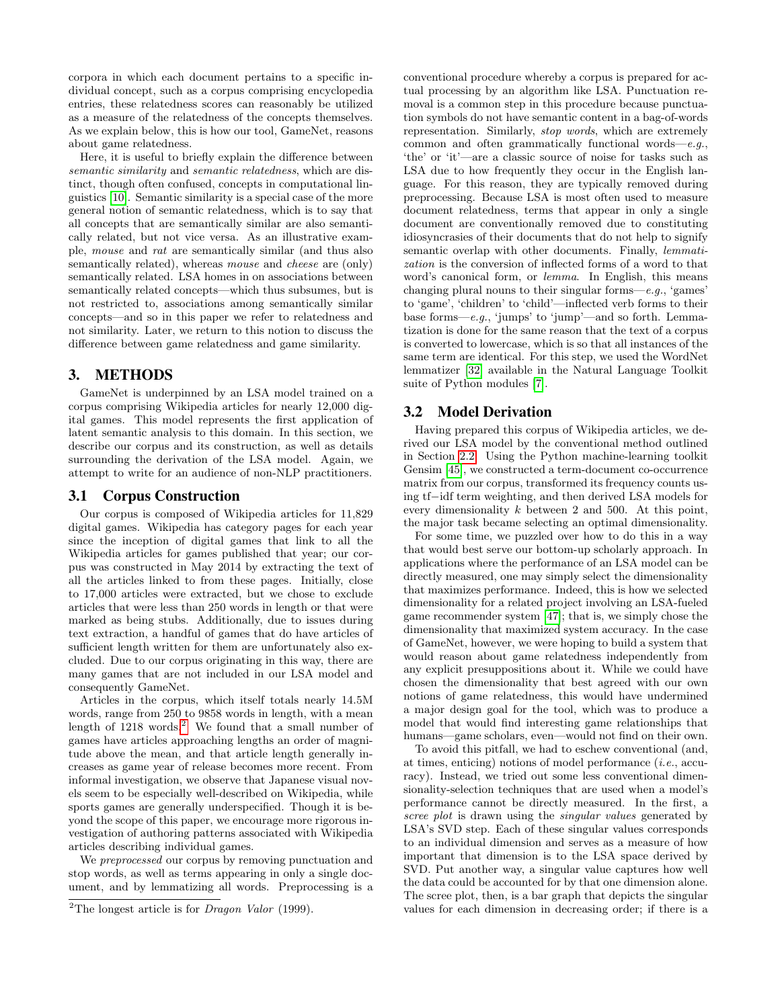corpora in which each document pertains to a specific individual concept, such as a corpus comprising encyclopedia entries, these relatedness scores can reasonably be utilized as a measure of the relatedness of the concepts themselves. As we explain below, this is how our tool, GameNet, reasons about game relatedness.

Here, it is useful to briefly explain the difference between semantic similarity and semantic relatedness, which are distinct, though often confused, concepts in computational linguistics [\[10\]](#page-8-30). Semantic similarity is a special case of the more general notion of semantic relatedness, which is to say that all concepts that are semantically similar are also semantically related, but not vice versa. As an illustrative example, mouse and rat are semantically similar (and thus also semantically related), whereas *mouse* and *cheese* are (only) semantically related. LSA homes in on associations between semantically related concepts—which thus subsumes, but is not restricted to, associations among semantically similar concepts—and so in this paper we refer to relatedness and not similarity. Later, we return to this notion to discuss the difference between game relatedness and game similarity.

# <span id="page-4-0"></span>3. METHODS

GameNet is underpinned by an LSA model trained on a corpus comprising Wikipedia articles for nearly 12,000 digital games. This model represents the first application of latent semantic analysis to this domain. In this section, we describe our corpus and its construction, as well as details surrounding the derivation of the LSA model. Again, we attempt to write for an audience of non-NLP practitioners.

#### <span id="page-4-3"></span>3.1 Corpus Construction

Our corpus is composed of Wikipedia articles for 11,829 digital games. Wikipedia has category pages for each year since the inception of digital games that link to all the Wikipedia articles for games published that year; our corpus was constructed in May 2014 by extracting the text of all the articles linked to from these pages. Initially, close to 17,000 articles were extracted, but we chose to exclude articles that were less than 250 words in length or that were marked as being stubs. Additionally, due to issues during text extraction, a handful of games that do have articles of sufficient length written for them are unfortunately also excluded. Due to our corpus originating in this way, there are many games that are not included in our LSA model and consequently GameNet.

Articles in the corpus, which itself totals nearly 14.5M words, range from 250 to 9858 words in length, with a mean length of  $1218$  $1218$  $1218$  words.<sup>2</sup> We found that a small number of games have articles approaching lengths an order of magnitude above the mean, and that article length generally increases as game year of release becomes more recent. From informal investigation, we observe that Japanese visual novels seem to be especially well-described on Wikipedia, while sports games are generally underspecified. Though it is beyond the scope of this paper, we encourage more rigorous investigation of authoring patterns associated with Wikipedia articles describing individual games.

We *preprocessed* our corpus by removing punctuation and stop words, as well as terms appearing in only a single document, and by lemmatizing all words. Preprocessing is a conventional procedure whereby a corpus is prepared for actual processing by an algorithm like LSA. Punctuation removal is a common step in this procedure because punctuation symbols do not have semantic content in a bag-of-words representation. Similarly, stop words, which are extremely common and often grammatically functional words—e.g., 'the' or 'it'—are a classic source of noise for tasks such as LSA due to how frequently they occur in the English language. For this reason, they are typically removed during preprocessing. Because LSA is most often used to measure document relatedness, terms that appear in only a single document are conventionally removed due to constituting idiosyncrasies of their documents that do not help to signify semantic overlap with other documents. Finally, *lemmati*zation is the conversion of inflected forms of a word to that word's canonical form, or lemma. In English, this means changing plural nouns to their singular forms—e.g., 'games' to 'game', 'children' to 'child'—inflected verb forms to their base forms—e.g., 'jumps' to 'jump'—and so forth. Lemmatization is done for the same reason that the text of a corpus is converted to lowercase, which is so that all instances of the same term are identical. For this step, we used the WordNet lemmatizer [\[32\]](#page-8-31) available in the Natural Language Toolkit suite of Python modules [\[7\]](#page-8-32).

## <span id="page-4-1"></span>3.2 Model Derivation

Having prepared this corpus of Wikipedia articles, we derived our LSA model by the conventional method outlined in Section [2.2.](#page-3-0) Using the Python machine-learning toolkit Gensim [\[45\]](#page-8-33), we constructed a term-document co-occurrence matrix from our corpus, transformed its frequency counts using tf−idf term weighting, and then derived LSA models for every dimensionality  $k$  between 2 and 500. At this point, the major task became selecting an optimal dimensionality.

For some time, we puzzled over how to do this in a way that would best serve our bottom-up scholarly approach. In applications where the performance of an LSA model can be directly measured, one may simply select the dimensionality that maximizes performance. Indeed, this is how we selected dimensionality for a related project involving an LSA-fueled game recommender system [\[47\]](#page-8-15); that is, we simply chose the dimensionality that maximized system accuracy. In the case of GameNet, however, we were hoping to build a system that would reason about game relatedness independently from any explicit presuppositions about it. While we could have chosen the dimensionality that best agreed with our own notions of game relatedness, this would have undermined a major design goal for the tool, which was to produce a model that would find interesting game relationships that humans—game scholars, even—would not find on their own.

To avoid this pitfall, we had to eschew conventional (and, at times, enticing) notions of model performance  $(i.e., \text{accu-}$ racy). Instead, we tried out some less conventional dimensionality-selection techniques that are used when a model's performance cannot be directly measured. In the first, a scree plot is drawn using the *singular values* generated by LSA's SVD step. Each of these singular values corresponds to an individual dimension and serves as a measure of how important that dimension is to the LSA space derived by SVD. Put another way, a singular value captures how well the data could be accounted for by that one dimension alone. The scree plot, then, is a bar graph that depicts the singular values for each dimension in decreasing order; if there is a

<span id="page-4-2"></span><sup>&</sup>lt;sup>2</sup>The longest article is for *Dragon Valor* (1999).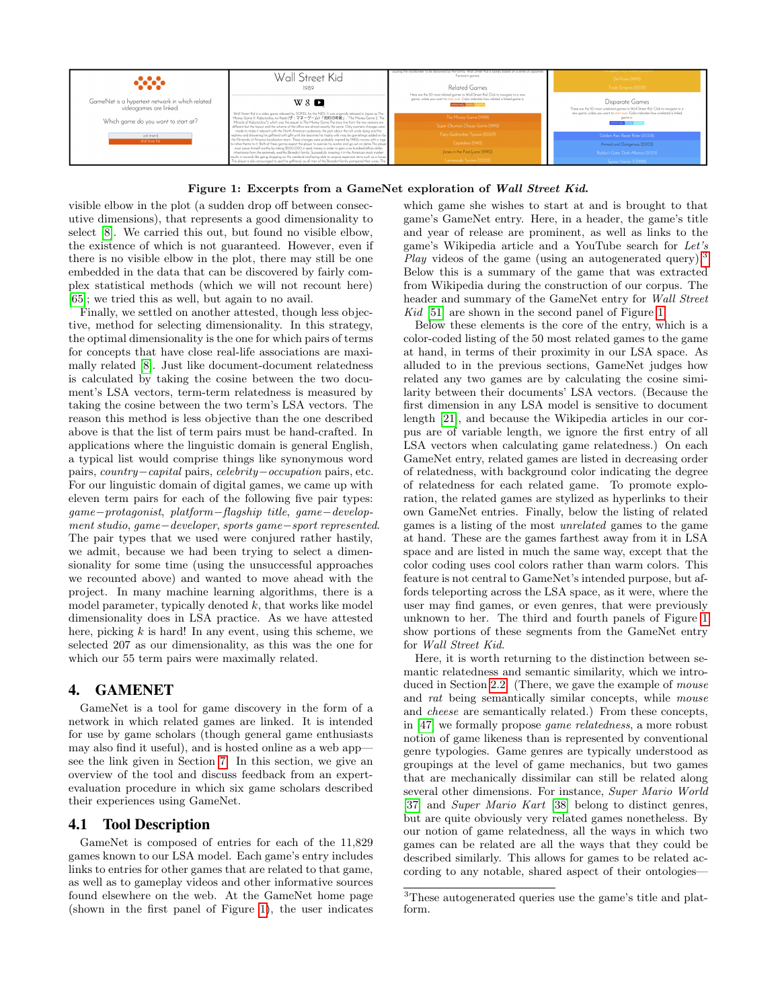

<span id="page-5-1"></span>Figure 1: Excerpts from a GameNet exploration of Wall Street Kid.

visible elbow in the plot (a sudden drop off between consecutive dimensions), that represents a good dimensionality to select [\[8\]](#page-8-29). We carried this out, but found no visible elbow, the existence of which is not guaranteed. However, even if there is no visible elbow in the plot, there may still be one embedded in the data that can be discovered by fairly complex statistical methods (which we will not recount here) [\[65\]](#page-9-9); we tried this as well, but again to no avail.

Finally, we settled on another attested, though less objective, method for selecting dimensionality. In this strategy, the optimal dimensionality is the one for which pairs of terms for concepts that have close real-life associations are maximally related [\[8\]](#page-8-29). Just like document-document relatedness is calculated by taking the cosine between the two document's LSA vectors, term-term relatedness is measured by taking the cosine between the two term's LSA vectors. The reason this method is less objective than the one described above is that the list of term pairs must be hand-crafted. In applications where the linguistic domain is general English, a typical list would comprise things like synonymous word pairs, country−capital pairs, celebrity−occupation pairs, etc. For our linguistic domain of digital games, we came up with eleven term pairs for each of the following five pair types: game−protagonist, platform−flagship title, game−development studio, game−developer, sports game−sport represented. The pair types that we used were conjured rather hastily, we admit, because we had been trying to select a dimensionality for some time (using the unsuccessful approaches we recounted above) and wanted to move ahead with the project. In many machine learning algorithms, there is a model parameter, typically denoted  $k$ , that works like model dimensionality does in LSA practice. As we have attested here, picking  $k$  is hard! In any event, using this scheme, we selected 207 as our dimensionality, as this was the one for which our 55 term pairs were maximally related.

# <span id="page-5-0"></span>4. GAMENET

GameNet is a tool for game discovery in the form of a network in which related games are linked. It is intended for use by game scholars (though general game enthusiasts may also find it useful), and is hosted online as a web app see the link given in Section [7.](#page-7-1) In this section, we give an overview of the tool and discuss feedback from an expertevaluation procedure in which six game scholars described their experiences using GameNet.

## 4.1 Tool Description

GameNet is composed of entries for each of the 11,829 games known to our LSA model. Each game's entry includes links to entries for other games that are related to that game, as well as to gameplay videos and other informative sources found elsewhere on the web. At the GameNet home page (shown in the first panel of Figure [1\)](#page-5-1), the user indicates which game she wishes to start at and is brought to that game's GameNet entry. Here, in a header, the game's title and year of release are prominent, as well as links to the game's Wikipedia article and a YouTube search for Let's *Play* videos of the game (using an autogenerated query).<sup>[3](#page-5-2)</sup> Below this is a summary of the game that was extracted from Wikipedia during the construction of our corpus. The header and summary of the GameNet entry for Wall Street Kid [\[51\]](#page-8-34) are shown in the second panel of Figure [1.](#page-5-1)

Below these elements is the core of the entry, which is a color-coded listing of the 50 most related games to the game at hand, in terms of their proximity in our LSA space. As alluded to in the previous sections, GameNet judges how related any two games are by calculating the cosine similarity between their documents' LSA vectors. (Because the first dimension in any LSA model is sensitive to document length [\[21\]](#page-8-35), and because the Wikipedia articles in our corpus are of variable length, we ignore the first entry of all LSA vectors when calculating game relatedness.) On each GameNet entry, related games are listed in decreasing order of relatedness, with background color indicating the degree of relatedness for each related game. To promote exploration, the related games are stylized as hyperlinks to their own GameNet entries. Finally, below the listing of related games is a listing of the most unrelated games to the game at hand. These are the games farthest away from it in LSA space and are listed in much the same way, except that the color coding uses cool colors rather than warm colors. This feature is not central to GameNet's intended purpose, but affords teleporting across the LSA space, as it were, where the user may find games, or even genres, that were previously unknown to her. The third and fourth panels of Figure [1](#page-5-1) show portions of these segments from the GameNet entry for Wall Street Kid.

Here, it is worth returning to the distinction between semantic relatedness and semantic similarity, which we intro-duced in Section [2.2.](#page-3-0) (There, we gave the example of *mouse* and rat being semantically similar concepts, while mouse and cheese are semantically related.) From these concepts, in [\[47\]](#page-8-15) we formally propose game relatedness, a more robust notion of game likeness than is represented by conventional genre typologies. Game genres are typically understood as groupings at the level of game mechanics, but two games that are mechanically dissimilar can still be related along several other dimensions. For instance, Super Mario World [\[37\]](#page-8-36) and Super Mario Kart [\[38\]](#page-8-37) belong to distinct genres, but are quite obviously very related games nonetheless. By our notion of game relatedness, all the ways in which two games can be related are all the ways that they could be described similarly. This allows for games to be related according to any notable, shared aspect of their ontologies—

<span id="page-5-2"></span><sup>3</sup>These autogenerated queries use the game's title and platform.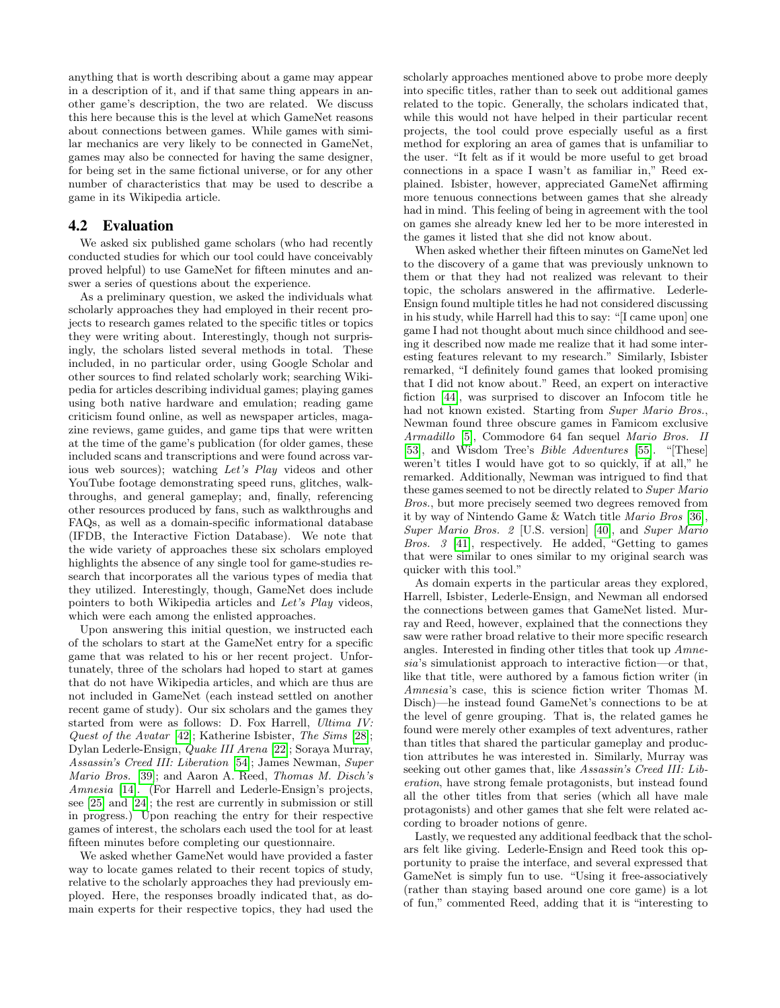anything that is worth describing about a game may appear in a description of it, and if that same thing appears in another game's description, the two are related. We discuss this here because this is the level at which GameNet reasons about connections between games. While games with similar mechanics are very likely to be connected in GameNet, games may also be connected for having the same designer, for being set in the same fictional universe, or for any other number of characteristics that may be used to describe a game in its Wikipedia article.

## 4.2 Evaluation

We asked six published game scholars (who had recently conducted studies for which our tool could have conceivably proved helpful) to use GameNet for fifteen minutes and answer a series of questions about the experience.

As a preliminary question, we asked the individuals what scholarly approaches they had employed in their recent projects to research games related to the specific titles or topics they were writing about. Interestingly, though not surprisingly, the scholars listed several methods in total. These included, in no particular order, using Google Scholar and other sources to find related scholarly work; searching Wikipedia for articles describing individual games; playing games using both native hardware and emulation; reading game criticism found online, as well as newspaper articles, magazine reviews, game guides, and game tips that were written at the time of the game's publication (for older games, these included scans and transcriptions and were found across various web sources); watching Let's Play videos and other YouTube footage demonstrating speed runs, glitches, walkthroughs, and general gameplay; and, finally, referencing other resources produced by fans, such as walkthroughs and FAQs, as well as a domain-specific informational database (IFDB, the Interactive Fiction Database). We note that the wide variety of approaches these six scholars employed highlights the absence of any single tool for game-studies research that incorporates all the various types of media that they utilized. Interestingly, though, GameNet does include pointers to both Wikipedia articles and Let's Play videos, which were each among the enlisted approaches.

Upon answering this initial question, we instructed each of the scholars to start at the GameNet entry for a specific game that was related to his or her recent project. Unfortunately, three of the scholars had hoped to start at games that do not have Wikipedia articles, and which are thus are not included in GameNet (each instead settled on another recent game of study). Our six scholars and the games they started from were as follows: D. Fox Harrell, Ultima IV: Quest of the Avatar [\[42\]](#page-8-38); Katherine Isbister, The Sims [\[28\]](#page-8-39); Dylan Lederle-Ensign, Quake III Arena [\[22\]](#page-8-40); Soraya Murray, Assassin's Creed III: Liberation [\[54\]](#page-9-10); James Newman, Super Mario Bros. [\[39\]](#page-8-41); and Aaron A. Reed, Thomas M. Disch's Amnesia [\[14\]](#page-8-42). (For Harrell and Lederle-Ensign's projects, see [\[25\]](#page-8-43) and [\[24\]](#page-8-44); the rest are currently in submission or still in progress.) Upon reaching the entry for their respective games of interest, the scholars each used the tool for at least fifteen minutes before completing our questionnaire.

We asked whether GameNet would have provided a faster way to locate games related to their recent topics of study, relative to the scholarly approaches they had previously employed. Here, the responses broadly indicated that, as domain experts for their respective topics, they had used the scholarly approaches mentioned above to probe more deeply into specific titles, rather than to seek out additional games related to the topic. Generally, the scholars indicated that, while this would not have helped in their particular recent projects, the tool could prove especially useful as a first method for exploring an area of games that is unfamiliar to the user. "It felt as if it would be more useful to get broad connections in a space I wasn't as familiar in," Reed explained. Isbister, however, appreciated GameNet affirming more tenuous connections between games that she already had in mind. This feeling of being in agreement with the tool on games she already knew led her to be more interested in the games it listed that she did not know about.

When asked whether their fifteen minutes on GameNet led to the discovery of a game that was previously unknown to them or that they had not realized was relevant to their topic, the scholars answered in the affirmative. Lederle-Ensign found multiple titles he had not considered discussing in his study, while Harrell had this to say: "[I came upon] one game I had not thought about much since childhood and seeing it described now made me realize that it had some interesting features relevant to my research." Similarly, Isbister remarked, "I definitely found games that looked promising that I did not know about." Reed, an expert on interactive fiction [\[44\]](#page-8-45), was surprised to discover an Infocom title he had not known existed. Starting from Super Mario Bros., Newman found three obscure games in Famicom exclusive Armadillo [\[5\]](#page-8-46), Commodore 64 fan sequel Mario Bros. II [\[53\]](#page-9-11), and Wisdom Tree's Bible Adventures [\[55\]](#page-9-12). "[These] weren't titles I would have got to so quickly, if at all," he remarked. Additionally, Newman was intrigued to find that these games seemed to not be directly related to Super Mario Bros., but more precisely seemed two degrees removed from it by way of Nintendo Game & Watch title Mario Bros [\[36\]](#page-8-47), Super Mario Bros. 2 [U.S. version] [\[40\]](#page-8-48), and Super Mario Bros. 3 [\[41\]](#page-8-49), respectively. He added, "Getting to games that were similar to ones similar to my original search was quicker with this tool."

As domain experts in the particular areas they explored, Harrell, Isbister, Lederle-Ensign, and Newman all endorsed the connections between games that GameNet listed. Murray and Reed, however, explained that the connections they saw were rather broad relative to their more specific research angles. Interested in finding other titles that took up Amnesia's simulationist approach to interactive fiction—or that, like that title, were authored by a famous fiction writer (in Amnesia's case, this is science fiction writer Thomas M. Disch)—he instead found GameNet's connections to be at the level of genre grouping. That is, the related games he found were merely other examples of text adventures, rather than titles that shared the particular gameplay and production attributes he was interested in. Similarly, Murray was seeking out other games that, like Assassin's Creed III: Liberation, have strong female protagonists, but instead found all the other titles from that series (which all have male protagonists) and other games that she felt were related according to broader notions of genre.

Lastly, we requested any additional feedback that the scholars felt like giving. Lederle-Ensign and Reed took this opportunity to praise the interface, and several expressed that GameNet is simply fun to use. "Using it free-associatively (rather than staying based around one core game) is a lot of fun," commented Reed, adding that it is "interesting to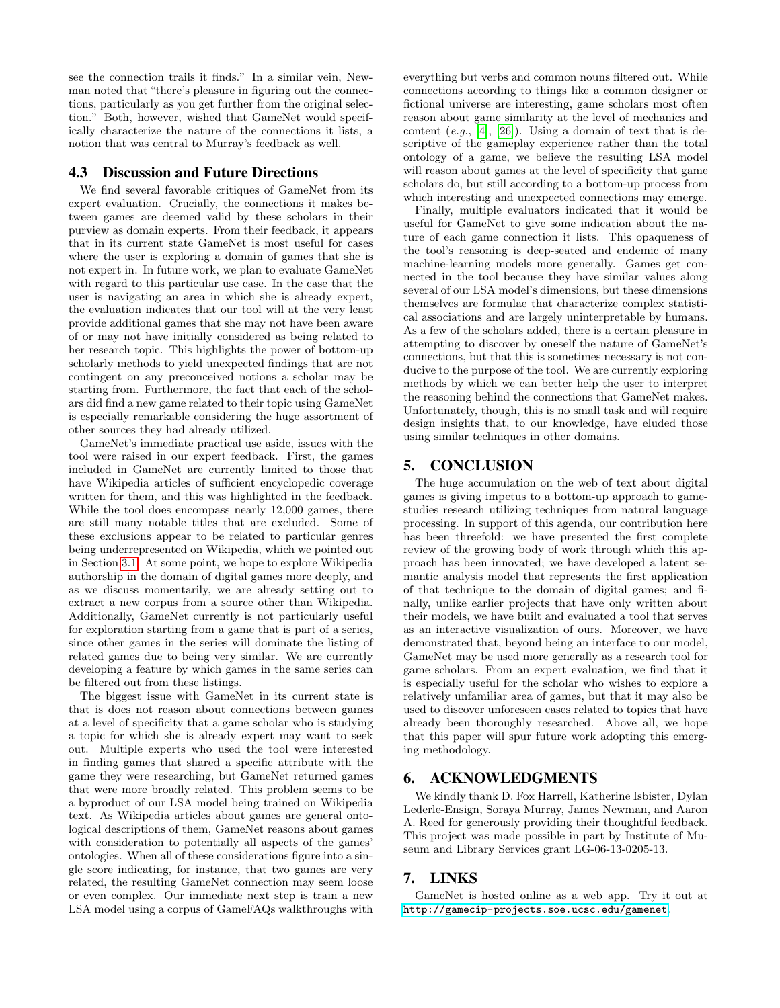see the connection trails it finds." In a similar vein, Newman noted that "there's pleasure in figuring out the connections, particularly as you get further from the original selection." Both, however, wished that GameNet would specifically characterize the nature of the connections it lists, a notion that was central to Murray's feedback as well.

# 4.3 Discussion and Future Directions

We find several favorable critiques of GameNet from its expert evaluation. Crucially, the connections it makes between games are deemed valid by these scholars in their purview as domain experts. From their feedback, it appears that in its current state GameNet is most useful for cases where the user is exploring a domain of games that she is not expert in. In future work, we plan to evaluate GameNet with regard to this particular use case. In the case that the user is navigating an area in which she is already expert, the evaluation indicates that our tool will at the very least provide additional games that she may not have been aware of or may not have initially considered as being related to her research topic. This highlights the power of bottom-up scholarly methods to yield unexpected findings that are not contingent on any preconceived notions a scholar may be starting from. Furthermore, the fact that each of the scholars did find a new game related to their topic using GameNet is especially remarkable considering the huge assortment of other sources they had already utilized.

GameNet's immediate practical use aside, issues with the tool were raised in our expert feedback. First, the games included in GameNet are currently limited to those that have Wikipedia articles of sufficient encyclopedic coverage written for them, and this was highlighted in the feedback. While the tool does encompass nearly 12,000 games, there are still many notable titles that are excluded. Some of these exclusions appear to be related to particular genres being underrepresented on Wikipedia, which we pointed out in Section [3.1.](#page-4-3) At some point, we hope to explore Wikipedia authorship in the domain of digital games more deeply, and as we discuss momentarily, we are already setting out to extract a new corpus from a source other than Wikipedia. Additionally, GameNet currently is not particularly useful for exploration starting from a game that is part of a series, since other games in the series will dominate the listing of related games due to being very similar. We are currently developing a feature by which games in the same series can be filtered out from these listings.

The biggest issue with GameNet in its current state is that is does not reason about connections between games at a level of specificity that a game scholar who is studying a topic for which she is already expert may want to seek out. Multiple experts who used the tool were interested in finding games that shared a specific attribute with the game they were researching, but GameNet returned games that were more broadly related. This problem seems to be a byproduct of our LSA model being trained on Wikipedia text. As Wikipedia articles about games are general ontological descriptions of them, GameNet reasons about games with consideration to potentially all aspects of the games' ontologies. When all of these considerations figure into a single score indicating, for instance, that two games are very related, the resulting GameNet connection may seem loose or even complex. Our immediate next step is train a new LSA model using a corpus of GameFAQs walkthroughs with

everything but verbs and common nouns filtered out. While connections according to things like a common designer or fictional universe are interesting, game scholars most often reason about game similarity at the level of mechanics and content  $(e,q, 4]$ ,  $[26]$ ). Using a domain of text that is descriptive of the gameplay experience rather than the total ontology of a game, we believe the resulting LSA model will reason about games at the level of specificity that game scholars do, but still according to a bottom-up process from which interesting and unexpected connections may emerge.

Finally, multiple evaluators indicated that it would be useful for GameNet to give some indication about the nature of each game connection it lists. This opaqueness of the tool's reasoning is deep-seated and endemic of many machine-learning models more generally. Games get connected in the tool because they have similar values along several of our LSA model's dimensions, but these dimensions themselves are formulae that characterize complex statistical associations and are largely uninterpretable by humans. As a few of the scholars added, there is a certain pleasure in attempting to discover by oneself the nature of GameNet's connections, but that this is sometimes necessary is not conducive to the purpose of the tool. We are currently exploring methods by which we can better help the user to interpret the reasoning behind the connections that GameNet makes. Unfortunately, though, this is no small task and will require design insights that, to our knowledge, have eluded those using similar techniques in other domains.

#### <span id="page-7-0"></span>5. CONCLUSION

The huge accumulation on the web of text about digital games is giving impetus to a bottom-up approach to gamestudies research utilizing techniques from natural language processing. In support of this agenda, our contribution here has been threefold: we have presented the first complete review of the growing body of work through which this approach has been innovated; we have developed a latent semantic analysis model that represents the first application of that technique to the domain of digital games; and finally, unlike earlier projects that have only written about their models, we have built and evaluated a tool that serves as an interactive visualization of ours. Moreover, we have demonstrated that, beyond being an interface to our model, GameNet may be used more generally as a research tool for game scholars. From an expert evaluation, we find that it is especially useful for the scholar who wishes to explore a relatively unfamiliar area of games, but that it may also be used to discover unforeseen cases related to topics that have already been thoroughly researched. Above all, we hope that this paper will spur future work adopting this emerging methodology.

## 6. ACKNOWLEDGMENTS

We kindly thank D. Fox Harrell, Katherine Isbister, Dylan Lederle-Ensign, Soraya Murray, James Newman, and Aaron A. Reed for generously providing their thoughtful feedback. This project was made possible in part by Institute of Museum and Library Services grant LG-06-13-0205-13.

## <span id="page-7-1"></span>7. LINKS

GameNet is hosted online as a web app. Try it out at <http://gamecip-projects.soe.ucsc.edu/gamenet>.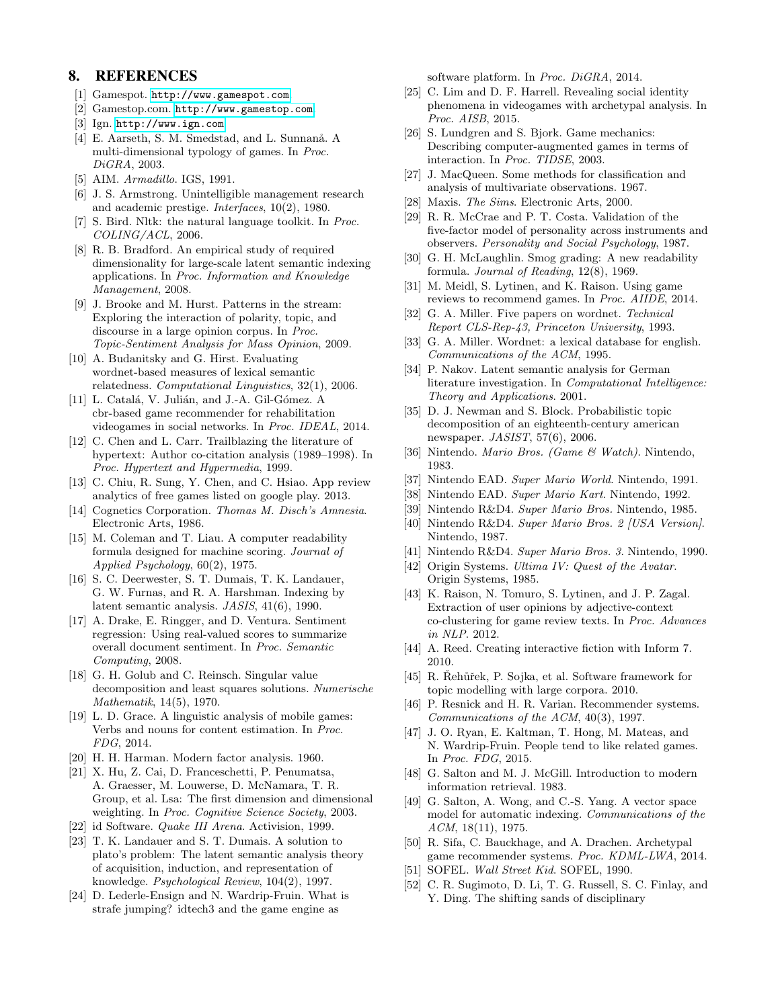# 8. REFERENCES

- <span id="page-8-2"></span>[1] Gamespot. <http://www.gamespot.com>.
- <span id="page-8-19"></span>[2] Gamestop.com. <http://www.gamestop.com>.
- <span id="page-8-18"></span>[3] Ign. <http://www.ign.com>.
- <span id="page-8-50"></span>[4] E. Aarseth, S. M. Smedstad, and L. Sunnanå. A multi-dimensional typology of games. In Proc. DiGRA, 2003.
- <span id="page-8-46"></span>[5] AIM. Armadillo. IGS, 1991.
- <span id="page-8-6"></span>[6] J. S. Armstrong. Unintelligible management research and academic prestige. Interfaces, 10(2), 1980.
- <span id="page-8-32"></span>[7] S. Bird. Nltk: the natural language toolkit. In Proc. COLING/ACL, 2006.
- <span id="page-8-29"></span>[8] R. B. Bradford. An empirical study of required dimensionality for large-scale latent semantic indexing applications. In Proc. Information and Knowledge Management, 2008.
- <span id="page-8-10"></span>[9] J. Brooke and M. Hurst. Patterns in the stream: Exploring the interaction of polarity, topic, and discourse in a large opinion corpus. In Proc. Topic-Sentiment Analysis for Mass Opinion, 2009.
- <span id="page-8-30"></span>[10] A. Budanitsky and G. Hirst. Evaluating wordnet-based measures of lexical semantic relatedness. Computational Linguistics, 32(1), 2006.
- <span id="page-8-14"></span>[11] L. Catalá, V. Julián, and J.-A. Gil-Gómez. A cbr-based game recommender for rehabilitation videogames in social networks. In Proc. IDEAL, 2014.
- <span id="page-8-25"></span>[12] C. Chen and L. Carr. Trailblazing the literature of hypertext: Author co-citation analysis (1989–1998). In Proc. Hypertext and Hypermedia, 1999.
- <span id="page-8-8"></span>[13] C. Chiu, R. Sung, Y. Chen, and C. Hsiao. App review analytics of free games listed on google play. 2013.
- <span id="page-8-42"></span>[14] Cognetics Corporation. Thomas M. Disch's Amnesia. Electronic Arts, 1986.
- <span id="page-8-5"></span>[15] M. Coleman and T. Liau. A computer readability formula designed for machine scoring. Journal of Applied Psychology, 60(2), 1975.
- <span id="page-8-23"></span>[16] S. C. Deerwester, S. T. Dumais, T. K. Landauer, G. W. Furnas, and R. A. Harshman. Indexing by latent semantic analysis. JASIS, 41(6), 1990.
- <span id="page-8-9"></span>[17] A. Drake, E. Ringger, and D. Ventura. Sentiment regression: Using real-valued scores to summarize overall document sentiment. In Proc. Semantic Computing, 2008.
- <span id="page-8-28"></span>[18] G. H. Golub and C. Reinsch. Singular value decomposition and least squares solutions. Numerische Mathematik, 14(5), 1970.
- <span id="page-8-16"></span>[19] L. D. Grace. A linguistic analysis of mobile games: Verbs and nouns for content estimation. In Proc. FDG, 2014.
- <span id="page-8-21"></span>[20] H. H. Harman. Modern factor analysis. 1960.
- <span id="page-8-35"></span>[21] X. Hu, Z. Cai, D. Franceschetti, P. Penumatsa, A. Graesser, M. Louwerse, D. McNamara, T. R. Group, et al. Lsa: The first dimension and dimensional weighting. In Proc. Cognitive Science Society, 2003.
- <span id="page-8-40"></span>[22] id Software. Quake III Arena. Activision, 1999.
- <span id="page-8-22"></span>[23] T. K. Landauer and S. T. Dumais. A solution to plato's problem: The latent semantic analysis theory of acquisition, induction, and representation of knowledge. Psychological Review, 104(2), 1997.
- <span id="page-8-44"></span>[24] D. Lederle-Ensign and N. Wardrip-Fruin. What is strafe jumping? idtech3 and the game engine as

software platform. In Proc. DiGRA, 2014.

- <span id="page-8-43"></span>[25] C. Lim and D. F. Harrell. Revealing social identity phenomena in videogames with archetypal analysis. In Proc. AISB, 2015.
- <span id="page-8-51"></span>[26] S. Lundgren and S. Bjork. Game mechanics: Describing computer-augmented games in terms of interaction. In Proc. TIDSE, 2003.
- <span id="page-8-3"></span>[27] J. MacQueen. Some methods for classification and analysis of multivariate observations. 1967.
- <span id="page-8-39"></span>[28] Maxis. The Sims. Electronic Arts, 2000.
- <span id="page-8-17"></span>[29] R. R. McCrae and P. T. Costa. Validation of the five-factor model of personality across instruments and observers. Personality and Social Psychology, 1987.
- <span id="page-8-4"></span>[30] G. H. McLaughlin. Smog grading: A new readability formula. Journal of Reading, 12(8), 1969.
- <span id="page-8-11"></span>[31] M. Meidl, S. Lytinen, and K. Raison. Using game reviews to recommend games. In Proc. AIIDE, 2014.
- <span id="page-8-31"></span>[32] G. A. Miller. Five papers on wordnet. Technical Report CLS-Rep-43, Princeton University, 1993.
- <span id="page-8-20"></span>[33] G. A. Miller. Wordnet: a lexical database for english. Communications of the ACM, 1995.
- <span id="page-8-24"></span>[34] P. Nakov. Latent semantic analysis for German literature investigation. In Computational Intelligence: Theory and Applications. 2001.
- <span id="page-8-1"></span>[35] D. J. Newman and S. Block. Probabilistic topic decomposition of an eighteenth-century american newspaper. JASIST, 57(6), 2006.
- <span id="page-8-47"></span>[36] Nintendo. Mario Bros. (Game & Watch). Nintendo, 1983.
- <span id="page-8-36"></span>[37] Nintendo EAD. Super Mario World. Nintendo, 1991.
- <span id="page-8-37"></span>[38] Nintendo EAD. Super Mario Kart. Nintendo, 1992.
- <span id="page-8-41"></span>[39] Nintendo R&D4. Super Mario Bros. Nintendo, 1985.
- <span id="page-8-48"></span>[40] Nintendo R&D4. Super Mario Bros. 2 [USA Version]. Nintendo, 1987.
- <span id="page-8-49"></span>[41] Nintendo R&D4. Super Mario Bros. 3. Nintendo, 1990.
- <span id="page-8-38"></span>[42] Origin Systems. Ultima IV: Quest of the Avatar. Origin Systems, 1985.
- <span id="page-8-7"></span>[43] K. Raison, N. Tomuro, S. Lytinen, and J. P. Zagal. Extraction of user opinions by adjective-context co-clustering for game review texts. In Proc. Advances in NLP. 2012.
- <span id="page-8-45"></span>[44] A. Reed. Creating interactive fiction with Inform 7. 2010.
- <span id="page-8-33"></span>[45] R. Rehůřek, P. Sojka, et al. Software framework for topic modelling with large corpora. 2010.
- <span id="page-8-12"></span>[46] P. Resnick and H. R. Varian. Recommender systems. Communications of the ACM, 40(3), 1997.
- <span id="page-8-15"></span>[47] J. O. Ryan, E. Kaltman, T. Hong, M. Mateas, and N. Wardrip-Fruin. People tend to like related games. In Proc. FDG, 2015.
- <span id="page-8-26"></span>[48] G. Salton and M. J. McGill. Introduction to modern information retrieval. 1983.
- <span id="page-8-27"></span>[49] G. Salton, A. Wong, and C.-S. Yang. A vector space model for automatic indexing. Communications of the ACM, 18(11), 1975.
- <span id="page-8-13"></span>[50] R. Sifa, C. Bauckhage, and A. Drachen. Archetypal game recommender systems. Proc. KDML-LWA, 2014.
- <span id="page-8-34"></span>[51] SOFEL. Wall Street Kid. SOFEL, 1990.
- <span id="page-8-0"></span>[52] C. R. Sugimoto, D. Li, T. G. Russell, S. C. Finlay, and Y. Ding. The shifting sands of disciplinary